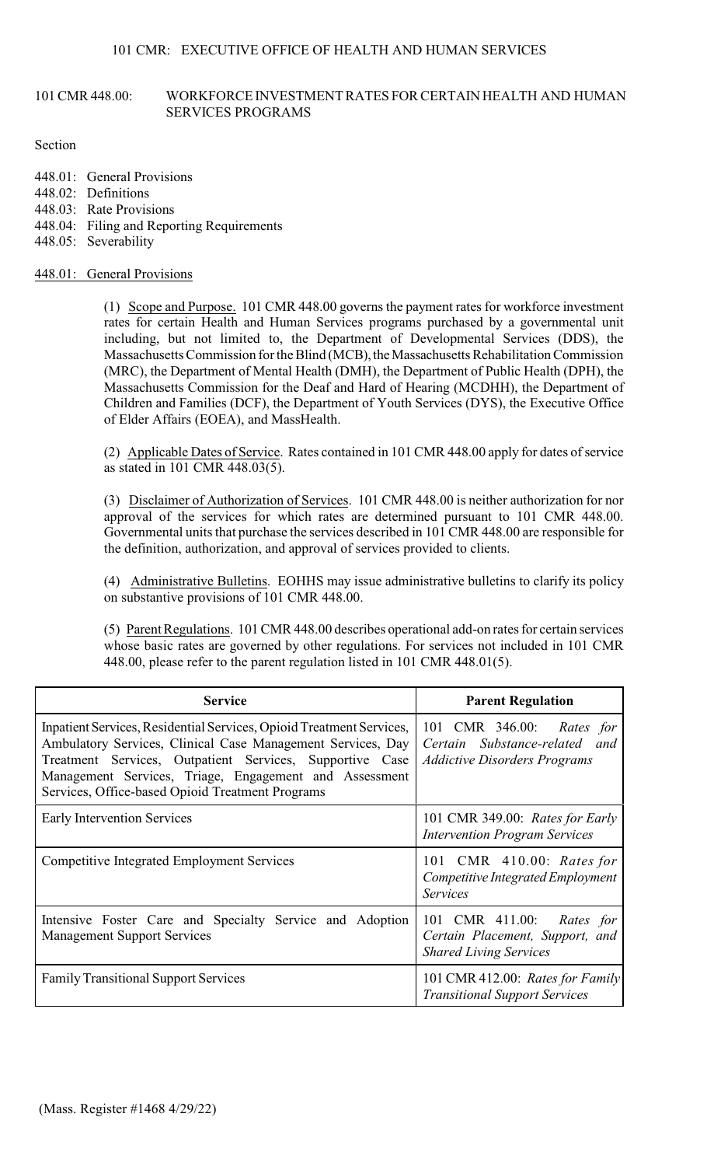### 101 CMR 448.00: WORKFORCE INVESTMENT RATES FOR CERTAIN HEALTH AND HUMAN SERVICES PROGRAMS

### Section

- 448.01: General Provisions
- 448.02: Definitions
- 448.03: Rate Provisions
- 448.04: Filing and Reporting Requirements
- 448.05: Severability

# 448.01: General Provisions

(1) Scope and Purpose. 101 CMR 448.00 governs the payment rates for workforce investment rates for certain Health and Human Services programs purchased by a governmental unit including, but not limited to, the Department of Developmental Services (DDS), the Massachusetts Commission for the Blind (MCB), the Massachusetts Rehabilitation Commission (MRC), the Department of Mental Health (DMH), the Department of Public Health (DPH), the Massachusetts Commission for the Deaf and Hard of Hearing (MCDHH), the Department of Children and Families (DCF), the Department of Youth Services (DYS), the Executive Office of Elder Affairs (EOEA), and MassHealth.

(2) Applicable Dates of Service. Rates contained in 101 CMR 448.00 apply for dates of service as stated in 101 CMR 448.03(5).

(3) Disclaimer of Authorization of Services. 101 CMR 448.00 is neither authorization for nor approval of the services for which rates are determined pursuant to 101 CMR 448.00. Governmental units that purchase the services described in 101 CMR 448.00 are responsible for the definition, authorization, and approval of services provided to clients.

(4) Administrative Bulletins. EOHHS may issue administrative bulletins to clarify its policy on substantive provisions of 101 CMR 448.00.

(5) Parent Regulations. 101 CMR 448.00 describes operational add-on rates for certain services whose basic rates are governed by other regulations. For services not included in 101 CMR 448.00, please refer to the parent regulation listed in 101 CMR 448.01(5).

| <b>Service</b>                                                                                                                                                                                                                                                                                                | <b>Parent Regulation</b>                                                                          |  |
|---------------------------------------------------------------------------------------------------------------------------------------------------------------------------------------------------------------------------------------------------------------------------------------------------------------|---------------------------------------------------------------------------------------------------|--|
| Inpatient Services, Residential Services, Opioid Treatment Services,<br>Ambulatory Services, Clinical Case Management Services, Day<br>Treatment Services, Outpatient Services, Supportive Case<br>Management Services, Triage, Engagement and Assessment<br>Services, Office-based Opioid Treatment Programs | 101 CMR 346.00: Rates for<br>Certain Substance-related and<br><b>Addictive Disorders Programs</b> |  |
| Early Intervention Services                                                                                                                                                                                                                                                                                   | 101 CMR 349.00: Rates for Early<br><b>Intervention Program Services</b>                           |  |
| <b>Competitive Integrated Employment Services</b>                                                                                                                                                                                                                                                             | 101 CMR 410.00: Rates for<br>Competitive Integrated Employment<br><b>Services</b>                 |  |
| Intensive Foster Care and Specialty Service and Adoption<br><b>Management Support Services</b>                                                                                                                                                                                                                | 101 CMR 411.00:<br>Rates for<br>Certain Placement, Support, and<br><b>Shared Living Services</b>  |  |
| <b>Family Transitional Support Services</b>                                                                                                                                                                                                                                                                   | 101 CMR 412.00: Rates for Family<br><b>Transitional Support Services</b>                          |  |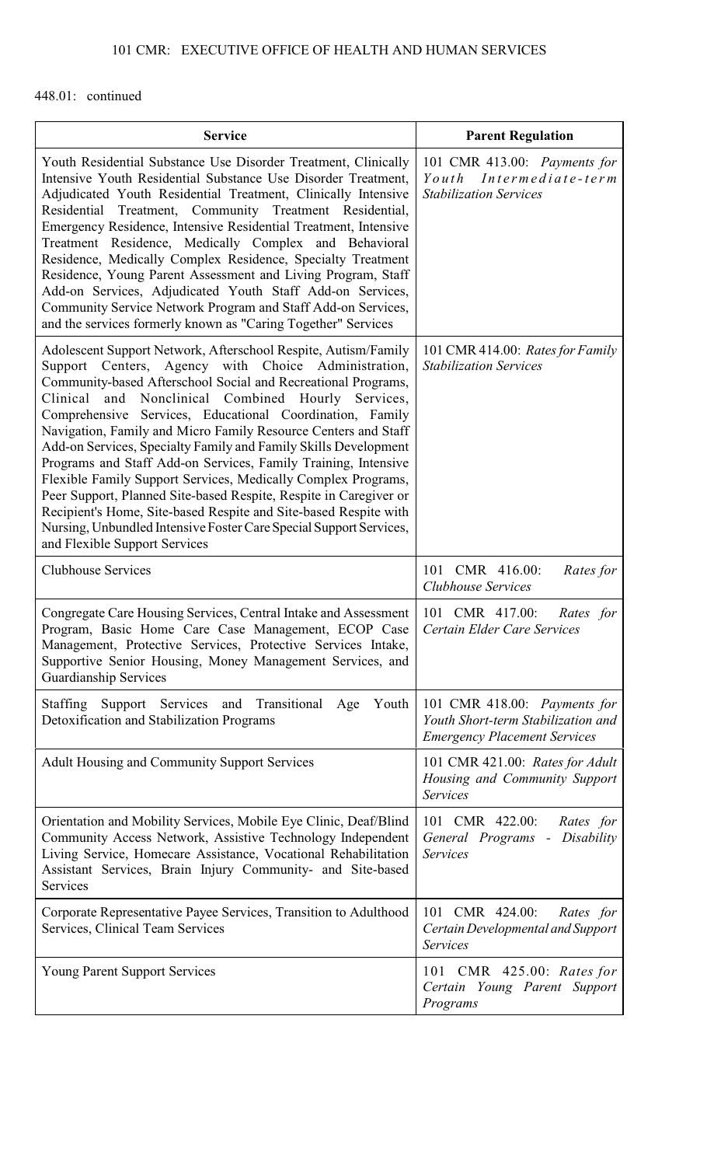# 101 CMR: EXECUTIVE OFFICE OF HEALTH AND HUMAN SERVICES

# 448.01: continued

| <b>Service</b>                                                                                                                                                                                                                                                                                                                                                                                                                                                                                                                                                                                                                                                                                                                                                                                                                            | <b>Parent Regulation</b>                                                                                  |  |
|-------------------------------------------------------------------------------------------------------------------------------------------------------------------------------------------------------------------------------------------------------------------------------------------------------------------------------------------------------------------------------------------------------------------------------------------------------------------------------------------------------------------------------------------------------------------------------------------------------------------------------------------------------------------------------------------------------------------------------------------------------------------------------------------------------------------------------------------|-----------------------------------------------------------------------------------------------------------|--|
| Youth Residential Substance Use Disorder Treatment, Clinically<br>Intensive Youth Residential Substance Use Disorder Treatment,<br>Adjudicated Youth Residential Treatment, Clinically Intensive<br>Residential Treatment, Community Treatment Residential,<br>Emergency Residence, Intensive Residential Treatment, Intensive<br>Treatment Residence, Medically Complex and Behavioral<br>Residence, Medically Complex Residence, Specialty Treatment<br>Residence, Young Parent Assessment and Living Program, Staff<br>Add-on Services, Adjudicated Youth Staff Add-on Services,<br>Community Service Network Program and Staff Add-on Services,<br>and the services formerly known as "Caring Together" Services                                                                                                                      | 101 CMR 413.00: Payments for<br>Intermediate-term<br>Youth<br><b>Stabilization Services</b>               |  |
| Adolescent Support Network, Afterschool Respite, Autism/Family<br>Support Centers, Agency with Choice Administration,<br>Community-based Afterschool Social and Recreational Programs,<br>Clinical<br>and Nonclinical Combined<br>Hourly<br>Services,<br>Comprehensive Services, Educational Coordination, Family<br>Navigation, Family and Micro Family Resource Centers and Staff<br>Add-on Services, Specialty Family and Family Skills Development<br>Programs and Staff Add-on Services, Family Training, Intensive<br>Flexible Family Support Services, Medically Complex Programs,<br>Peer Support, Planned Site-based Respite, Respite in Caregiver or<br>Recipient's Home, Site-based Respite and Site-based Respite with<br>Nursing, Unbundled Intensive Foster Care Special Support Services,<br>and Flexible Support Services | 101 CMR 414.00: Rates for Family<br><b>Stabilization Services</b>                                         |  |
| <b>Clubhouse Services</b>                                                                                                                                                                                                                                                                                                                                                                                                                                                                                                                                                                                                                                                                                                                                                                                                                 | 101 CMR 416.00:<br>Rates for<br>Clubhouse Services                                                        |  |
| Congregate Care Housing Services, Central Intake and Assessment<br>Program, Basic Home Care Case Management, ECOP Case<br>Management, Protective Services, Protective Services Intake,<br>Supportive Senior Housing, Money Management Services, and<br><b>Guardianship Services</b>                                                                                                                                                                                                                                                                                                                                                                                                                                                                                                                                                       | 101 CMR 417.00:<br>Rates for<br>Certain Elder Care Services                                               |  |
| Staffing Support Services and Transitional<br>Youth<br>Age<br>Detoxification and Stabilization Programs                                                                                                                                                                                                                                                                                                                                                                                                                                                                                                                                                                                                                                                                                                                                   | 101 CMR 418.00: Payments for<br>Youth Short-term Stabilization and<br><b>Emergency Placement Services</b> |  |
| Adult Housing and Community Support Services                                                                                                                                                                                                                                                                                                                                                                                                                                                                                                                                                                                                                                                                                                                                                                                              | 101 CMR 421.00: Rates for Adult<br>Housing and Community Support<br><b>Services</b>                       |  |
| Orientation and Mobility Services, Mobile Eye Clinic, Deaf/Blind<br>Community Access Network, Assistive Technology Independent<br>Living Service, Homecare Assistance, Vocational Rehabilitation<br>Assistant Services, Brain Injury Community- and Site-based<br>Services                                                                                                                                                                                                                                                                                                                                                                                                                                                                                                                                                                | 101 CMR 422.00:<br>Rates for<br>General Programs - Disability<br><b>Services</b>                          |  |
| Corporate Representative Payee Services, Transition to Adulthood<br>Services, Clinical Team Services                                                                                                                                                                                                                                                                                                                                                                                                                                                                                                                                                                                                                                                                                                                                      | 101 CMR 424.00:<br>Rates for<br>Certain Developmental and Support<br><b>Services</b>                      |  |
| <b>Young Parent Support Services</b>                                                                                                                                                                                                                                                                                                                                                                                                                                                                                                                                                                                                                                                                                                                                                                                                      | 101 CMR 425.00: Rates for<br>Certain Young Parent Support<br>Programs                                     |  |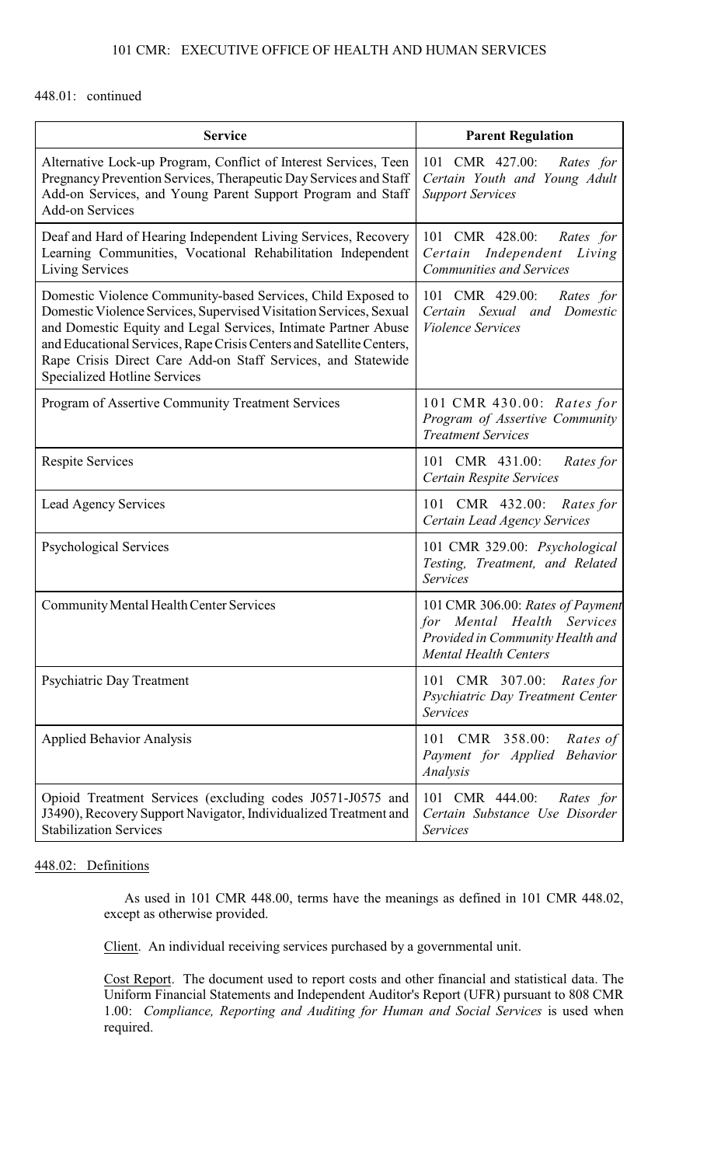# 101 CMR: EXECUTIVE OFFICE OF HEALTH AND HUMAN SERVICES

### 448.01: continued

| <b>Service</b>                                                                                                                                                                                                                                                                                                                                                                      | <b>Parent Regulation</b>                                                                                                           |  |
|-------------------------------------------------------------------------------------------------------------------------------------------------------------------------------------------------------------------------------------------------------------------------------------------------------------------------------------------------------------------------------------|------------------------------------------------------------------------------------------------------------------------------------|--|
| Alternative Lock-up Program, Conflict of Interest Services, Teen<br>Pregnancy Prevention Services, Therapeutic Day Services and Staff<br>Add-on Services, and Young Parent Support Program and Staff<br><b>Add-on Services</b>                                                                                                                                                      | 101 CMR 427.00:<br>Rates for<br>Certain Youth and Young Adult<br><b>Support Services</b>                                           |  |
| Deaf and Hard of Hearing Independent Living Services, Recovery<br>Learning Communities, Vocational Rehabilitation Independent<br>Living Services                                                                                                                                                                                                                                    | 101 CMR 428.00:<br>Rates for<br>Certain Independent<br>Living<br><b>Communities and Services</b>                                   |  |
| Domestic Violence Community-based Services, Child Exposed to<br>Domestic Violence Services, Supervised Visitation Services, Sexual<br>and Domestic Equity and Legal Services, Intimate Partner Abuse<br>and Educational Services, Rape Crisis Centers and Satellite Centers,<br>Rape Crisis Direct Care Add-on Staff Services, and Statewide<br><b>Specialized Hotline Services</b> | 101 CMR 429.00:<br>Rates for<br>Certain Sexual<br>Domestic<br>and<br><b>Violence Services</b>                                      |  |
| Program of Assertive Community Treatment Services                                                                                                                                                                                                                                                                                                                                   | 101 CMR 430.00: Rates for<br>Program of Assertive Community<br><b>Treatment Services</b>                                           |  |
| <b>Respite Services</b>                                                                                                                                                                                                                                                                                                                                                             | 101 CMR 431.00:<br>Rates for<br>Certain Respite Services                                                                           |  |
| <b>Lead Agency Services</b>                                                                                                                                                                                                                                                                                                                                                         | 101 CMR 432.00: Rates for<br>Certain Lead Agency Services                                                                          |  |
| <b>Psychological Services</b>                                                                                                                                                                                                                                                                                                                                                       | 101 CMR 329.00: Psychological<br>Testing, Treatment, and Related<br><b>Services</b>                                                |  |
| <b>Community Mental Health Center Services</b>                                                                                                                                                                                                                                                                                                                                      | 101 CMR 306.00: Rates of Payment<br>for Mental Health Services<br>Provided in Community Health and<br><b>Mental Health Centers</b> |  |
| Psychiatric Day Treatment                                                                                                                                                                                                                                                                                                                                                           | 101 CMR 307.00:<br>Rates for<br>Psychiatric Day Treatment Center<br><b>Services</b>                                                |  |
| <b>Applied Behavior Analysis</b>                                                                                                                                                                                                                                                                                                                                                    | 101 CMR 358.00:<br>Rates of<br>Payment for Applied<br><b>Behavior</b><br>Analysis                                                  |  |
| Opioid Treatment Services (excluding codes J0571-J0575 and<br>J3490), Recovery Support Navigator, Individualized Treatment and<br><b>Stabilization Services</b>                                                                                                                                                                                                                     | 101 CMR 444.00:<br>Rates for<br>Certain Substance Use Disorder<br><b>Services</b>                                                  |  |

## 448.02: Definitions

As used in 101 CMR 448.00, terms have the meanings as defined in 101 CMR 448.02, except as otherwise provided.

Client. An individual receiving services purchased by a governmental unit.

Cost Report. The document used to report costs and other financial and statistical data. The Uniform Financial Statements and Independent Auditor's Report (UFR) pursuant to 808 CMR 1.00: *Compliance, Reporting and Auditing for Human and Social Services* is used when required.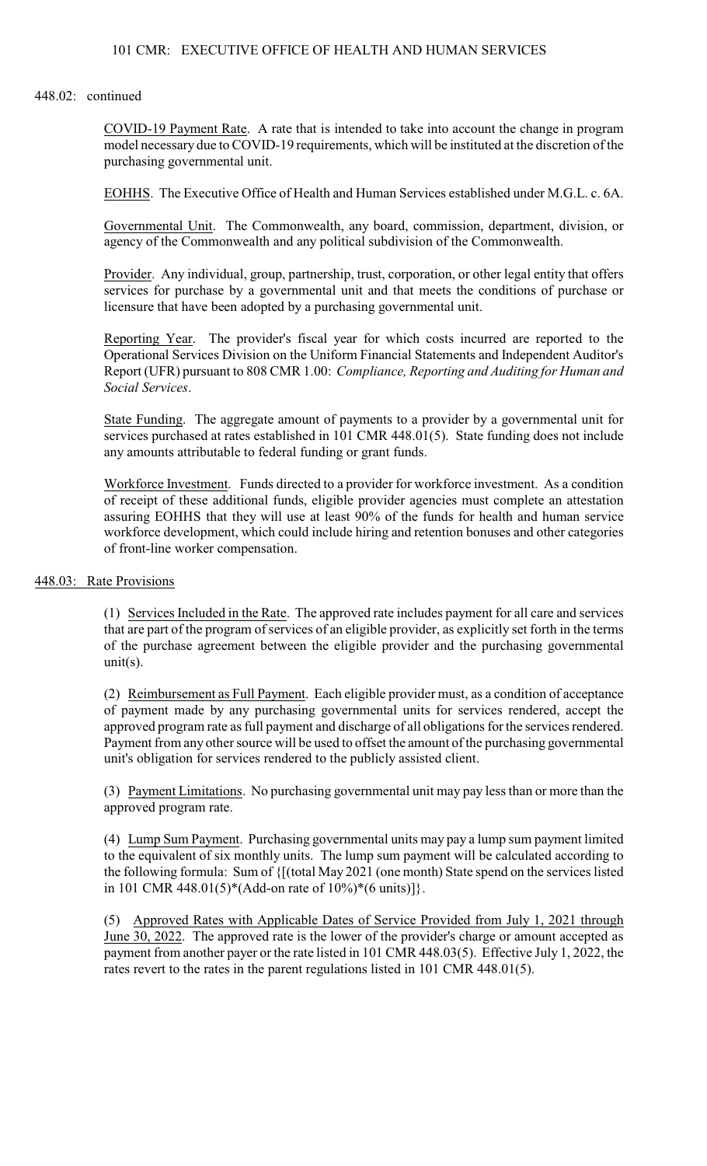### 101 CMR: EXECUTIVE OFFICE OF HEALTH AND HUMAN SERVICES

#### 448.02: continued

COVID-19 Payment Rate. A rate that is intended to take into account the change in program model necessary due to COVID-19 requirements, which will be instituted at the discretion of the purchasing governmental unit.

EOHHS. The Executive Office of Health and Human Services established under M.G.L. c. 6A.

Governmental Unit. The Commonwealth, any board, commission, department, division, or agency of the Commonwealth and any political subdivision of the Commonwealth.

Provider. Any individual, group, partnership, trust, corporation, or other legal entity that offers services for purchase by a governmental unit and that meets the conditions of purchase or licensure that have been adopted by a purchasing governmental unit.

Reporting Year. The provider's fiscal year for which costs incurred are reported to the Operational Services Division on the Uniform Financial Statements and Independent Auditor's Report (UFR) pursuant to 808 CMR 1.00: *Compliance, Reporting and Auditing for Human and Social Services*.

State Funding. The aggregate amount of payments to a provider by a governmental unit for services purchased at rates established in 101 CMR 448.01(5). State funding does not include any amounts attributable to federal funding or grant funds.

Workforce Investment. Funds directed to a provider for workforce investment. As a condition of receipt of these additional funds, eligible provider agencies must complete an attestation assuring EOHHS that they will use at least 90% of the funds for health and human service workforce development, which could include hiring and retention bonuses and other categories of front-line worker compensation.

### 448.03: Rate Provisions

(1) Services Included in the Rate. The approved rate includes payment for all care and services that are part of the program ofservices of an eligible provider, as explicitly set forth in the terms of the purchase agreement between the eligible provider and the purchasing governmental unit $(s)$ .

(2) Reimbursement as Full Payment. Each eligible provider must, as a condition of acceptance of payment made by any purchasing governmental units for services rendered, accept the approved program rate as full payment and discharge of all obligations forthe services rendered. Payment from any other source will be used to offset the amount of the purchasing governmental unit's obligation for services rendered to the publicly assisted client.

(3) Payment Limitations. No purchasing governmental unit may pay less than or more than the approved program rate.

(4) Lump Sum Payment. Purchasing governmental units may pay a lump sum payment limited to the equivalent of six monthly units. The lump sum payment will be calculated according to the following formula: Sum of {[(total May 2021 (one month) State spend on the services listed in 101 CMR 448.01(5)\*(Add-on rate of  $10\%$ )\*(6 units)]}.

(5) Approved Rates with Applicable Dates of Service Provided from July 1, 2021 through June 30, 2022. The approved rate is the lower of the provider's charge or amount accepted as payment from another payer or the rate listed in 101 CMR 448.03(5). Effective July 1, 2022, the rates revert to the rates in the parent regulations listed in 101 CMR 448.01(5).